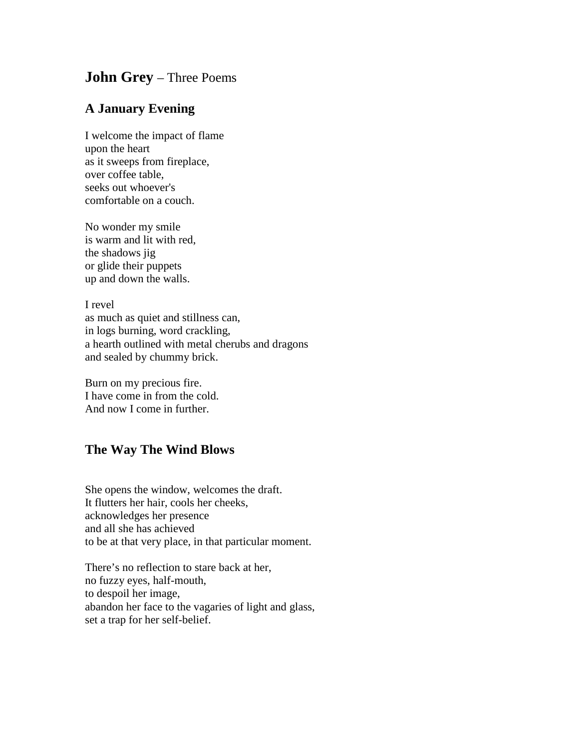## **John Grey** – Three Poems

## **A January Evening**

I welcome the impact of flame upon the heart as it sweeps from fireplace, over coffee table, seeks out whoever's comfortable on a couch.

No wonder my smile is warm and lit with red, the shadows jig or glide their puppets up and down the walls.

I revel as much as quiet and stillness can, in logs burning, word crackling, a hearth outlined with metal cherubs and dragons and sealed by chummy brick.

Burn on my precious fire. I have come in from the cold. And now I come in further.

## **The Way The Wind Blows**

She opens the window, welcomes the draft. It flutters her hair, cools her cheeks, acknowledges her presence and all she has achieved to be at that very place, in that particular moment.

There's no reflection to stare back at her, no fuzzy eyes, half-mouth, to despoil her image, abandon her face to the vagaries of light and glass, set a trap for her self-belief.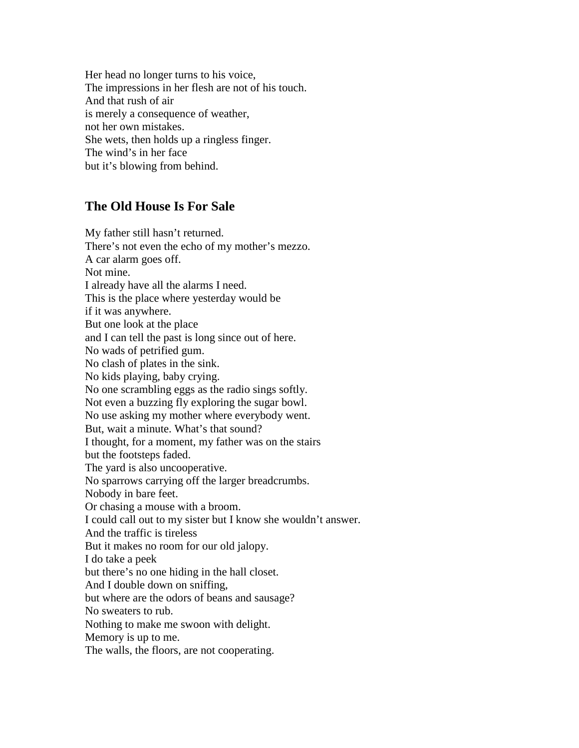Her head no longer turns to his voice, The impressions in her flesh are not of his touch. And that rush of air is merely a consequence of weather, not her own mistakes. She wets, then holds up a ringless finger. The wind's in her face but it's blowing from behind.

## **The Old House Is For Sale**

My father still hasn't returned. There's not even the echo of my mother's mezzo. A car alarm goes off. Not mine. I already have all the alarms I need. This is the place where yesterday would be if it was anywhere. But one look at the place and I can tell the past is long since out of here. No wads of petrified gum. No clash of plates in the sink. No kids playing, baby crying. No one scrambling eggs as the radio sings softly. Not even a buzzing fly exploring the sugar bowl. No use asking my mother where everybody went. But, wait a minute. What's that sound? I thought, for a moment, my father was on the stairs but the footsteps faded. The yard is also uncooperative. No sparrows carrying off the larger breadcrumbs. Nobody in bare feet. Or chasing a mouse with a broom. I could call out to my sister but I know she wouldn't answer. And the traffic is tireless But it makes no room for our old jalopy. I do take a peek but there's no one hiding in the hall closet. And I double down on sniffing, but where are the odors of beans and sausage? No sweaters to rub. Nothing to make me swoon with delight. Memory is up to me. The walls, the floors, are not cooperating.